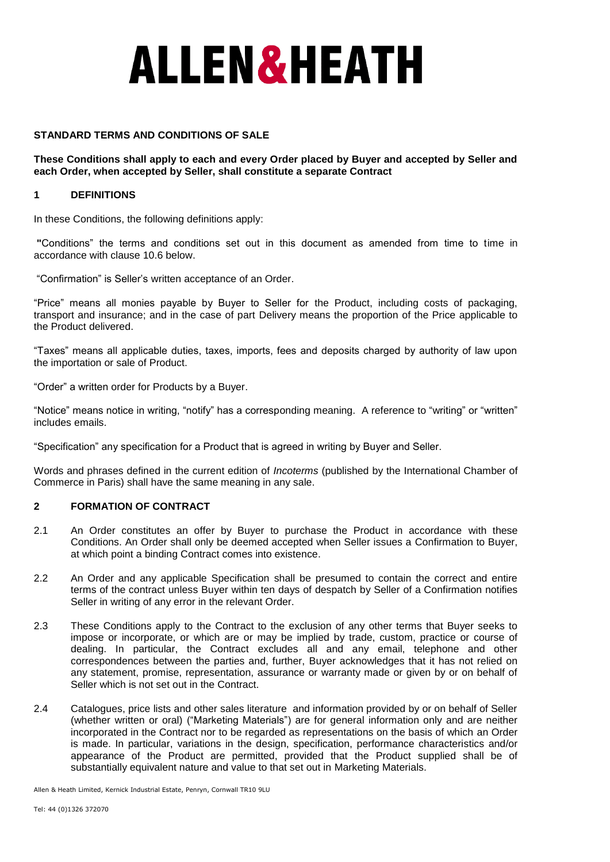## **STANDARD TERMS AND CONDITIONS OF SALE**

**These Conditions shall apply to each and every Order placed by Buyer and accepted by Seller and each Order, when accepted by Seller, shall constitute a separate Contract**

### **1 DEFINITIONS**

In these Conditions, the following definitions apply:

**"**Conditions" the terms and conditions set out in this document as amended from time to time in accordance with clause 10.6 below.

"Confirmation" is Seller's written acceptance of an Order.

"Price" means all monies payable by Buyer to Seller for the Product, including costs of packaging, transport and insurance; and in the case of part Delivery means the proportion of the Price applicable to the Product delivered.

"Taxes" means all applicable duties, taxes, imports, fees and deposits charged by authority of law upon the importation or sale of Product.

"Order" a written order for Products by a Buyer.

"Notice" means notice in writing, "notify" has a corresponding meaning. A reference to "writing" or "written" includes emails.

"Specification" any specification for a Product that is agreed in writing by Buyer and Seller.

Words and phrases defined in the current edition of *Incoterms* (published by the International Chamber of Commerce in Paris) shall have the same meaning in any sale.

### **2 FORMATION OF CONTRACT**

- 2.1 An Order constitutes an offer by Buyer to purchase the Product in accordance with these Conditions. An Order shall only be deemed accepted when Seller issues a Confirmation to Buyer, at which point a binding Contract comes into existence.
- 2.2 An Order and any applicable Specification shall be presumed to contain the correct and entire terms of the contract unless Buyer within ten days of despatch by Seller of a Confirmation notifies Seller in writing of any error in the relevant Order.
- 2.3 These Conditions apply to the Contract to the exclusion of any other terms that Buyer seeks to impose or incorporate, or which are or may be implied by trade, custom, practice or course of dealing. In particular, the Contract excludes all and any email, telephone and other correspondences between the parties and, further, Buyer acknowledges that it has not relied on any statement, promise, representation, assurance or warranty made or given by or on behalf of Seller which is not set out in the Contract.
- 2.4 Catalogues, price lists and other sales literature and information provided by or on behalf of Seller (whether written or oral) ("Marketing Materials") are for general information only and are neither incorporated in the Contract nor to be regarded as representations on the basis of which an Order is made. In particular, variations in the design, specification, performance characteristics and/or appearance of the Product are permitted, provided that the Product supplied shall be of substantially equivalent nature and value to that set out in Marketing Materials.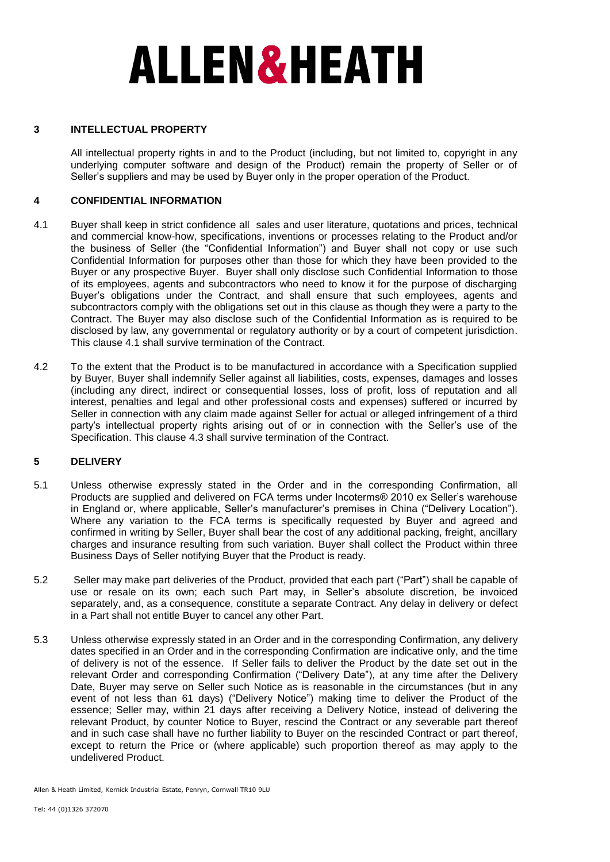### **3 INTELLECTUAL PROPERTY**

All intellectual property rights in and to the Product (including, but not limited to, copyright in any underlying computer software and design of the Product) remain the property of Seller or of Seller's suppliers and may be used by Buyer only in the proper operation of the Product.

## **4 CONFIDENTIAL INFORMATION**

- 4.1 Buyer shall keep in strict confidence all sales and user literature, quotations and prices, technical and commercial know-how, specifications, inventions or processes relating to the Product and/or the business of Seller (the "Confidential Information") and Buyer shall not copy or use such Confidential Information for purposes other than those for which they have been provided to the Buyer or any prospective Buyer. Buyer shall only disclose such Confidential Information to those of its employees, agents and subcontractors who need to know it for the purpose of discharging Buyer's obligations under the Contract, and shall ensure that such employees, agents and subcontractors comply with the obligations set out in this clause as though they were a party to the Contract. The Buyer may also disclose such of the Confidential Information as is required to be disclosed by law, any governmental or regulatory authority or by a court of competent jurisdiction. This clause 4.1 shall survive termination of the Contract.
- 4.2 To the extent that the Product is to be manufactured in accordance with a Specification supplied by Buyer, Buyer shall indemnify Seller against all liabilities, costs, expenses, damages and losses (including any direct, indirect or consequential losses, loss of profit, loss of reputation and all interest, penalties and legal and other professional costs and expenses) suffered or incurred by Seller in connection with any claim made against Seller for actual or alleged infringement of a third party's intellectual property rights arising out of or in connection with the Seller's use of the Specification. This clause 4.3 shall survive termination of the Contract.

## **5 DELIVERY**

- 5.1 Unless otherwise expressly stated in the Order and in the corresponding Confirmation, all Products are supplied and delivered on FCA terms under Incoterms® 2010 ex Seller's warehouse in England or, where applicable, Seller's manufacturer's premises in China ("Delivery Location"). Where any variation to the FCA terms is specifically requested by Buyer and agreed and confirmed in writing by Seller, Buyer shall bear the cost of any additional packing, freight, ancillary charges and insurance resulting from such variation. Buyer shall collect the Product within three Business Days of Seller notifying Buyer that the Product is ready.
- 5.2 Seller may make part deliveries of the Product, provided that each part ("Part") shall be capable of use or resale on its own; each such Part may, in Seller's absolute discretion, be invoiced separately, and, as a consequence, constitute a separate Contract. Any delay in delivery or defect in a Part shall not entitle Buyer to cancel any other Part.
- 5.3 Unless otherwise expressly stated in an Order and in the corresponding Confirmation, any delivery dates specified in an Order and in the corresponding Confirmation are indicative only, and the time of delivery is not of the essence. If Seller fails to deliver the Product by the date set out in the relevant Order and corresponding Confirmation ("Delivery Date"), at any time after the Delivery Date, Buyer may serve on Seller such Notice as is reasonable in the circumstances (but in any event of not less than 61 days) ("Delivery Notice") making time to deliver the Product of the essence; Seller may, within 21 days after receiving a Delivery Notice, instead of delivering the relevant Product, by counter Notice to Buyer, rescind the Contract or any severable part thereof and in such case shall have no further liability to Buyer on the rescinded Contract or part thereof, except to return the Price or (where applicable) such proportion thereof as may apply to the undelivered Product.

Allen & Heath Limited, Kernick Industrial Estate, Penryn, Cornwall TR10 9LU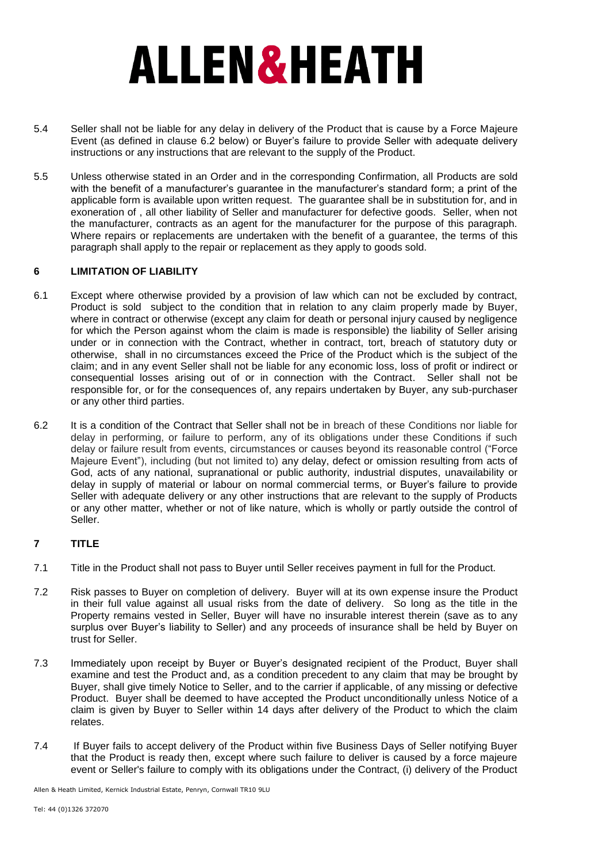- 5.4 Seller shall not be liable for any delay in delivery of the Product that is cause by a Force Majeure Event (as defined in clause 6.2 below) or Buyer's failure to provide Seller with adequate delivery instructions or any instructions that are relevant to the supply of the Product.
- 5.5 Unless otherwise stated in an Order and in the corresponding Confirmation, all Products are sold with the benefit of a manufacturer's guarantee in the manufacturer's standard form; a print of the applicable form is available upon written request. The guarantee shall be in substitution for, and in exoneration of , all other liability of Seller and manufacturer for defective goods. Seller, when not the manufacturer, contracts as an agent for the manufacturer for the purpose of this paragraph. Where repairs or replacements are undertaken with the benefit of a guarantee, the terms of this paragraph shall apply to the repair or replacement as they apply to goods sold.

## **6 LIMITATION OF LIABILITY**

- 6.1 Except where otherwise provided by a provision of law which can not be excluded by contract, Product is sold subject to the condition that in relation to any claim properly made by Buyer, where in contract or otherwise (except any claim for death or personal injury caused by negligence for which the Person against whom the claim is made is responsible) the liability of Seller arising under or in connection with the Contract, whether in contract, tort, breach of statutory duty or otherwise, shall in no circumstances exceed the Price of the Product which is the subject of the claim; and in any event Seller shall not be liable for any economic loss, loss of profit or indirect or consequential losses arising out of or in connection with the Contract. Seller shall not be responsible for, or for the consequences of, any repairs undertaken by Buyer, any sub-purchaser or any other third parties.
- 6.2 It is a condition of the Contract that Seller shall not be in breach of these Conditions nor liable for delay in performing, or failure to perform, any of its obligations under these Conditions if such delay or failure result from events, circumstances or causes beyond its reasonable control ("Force Majeure Event"), including (but not limited to) any delay, defect or omission resulting from acts of God, acts of any national, supranational or public authority, industrial disputes, unavailability or delay in supply of material or labour on normal commercial terms, or Buyer's failure to provide Seller with adequate delivery or any other instructions that are relevant to the supply of Products or any other matter, whether or not of like nature, which is wholly or partly outside the control of Seller.

## **7 TITLE**

- 7.1 Title in the Product shall not pass to Buyer until Seller receives payment in full for the Product.
- 7.2 Risk passes to Buyer on completion of delivery. Buyer will at its own expense insure the Product in their full value against all usual risks from the date of delivery. So long as the title in the Property remains vested in Seller, Buyer will have no insurable interest therein (save as to any surplus over Buyer's liability to Seller) and any proceeds of insurance shall be held by Buyer on trust for Seller.
- 7.3 Immediately upon receipt by Buyer or Buyer's designated recipient of the Product, Buyer shall examine and test the Product and, as a condition precedent to any claim that may be brought by Buyer, shall give timely Notice to Seller, and to the carrier if applicable, of any missing or defective Product. Buyer shall be deemed to have accepted the Product unconditionally unless Notice of a claim is given by Buyer to Seller within 14 days after delivery of the Product to which the claim relates.
- 7.4 If Buyer fails to accept delivery of the Product within five Business Days of Seller notifying Buyer that the Product is ready then, except where such failure to deliver is caused by a force majeure event or Seller's failure to comply with its obligations under the Contract, (i) delivery of the Product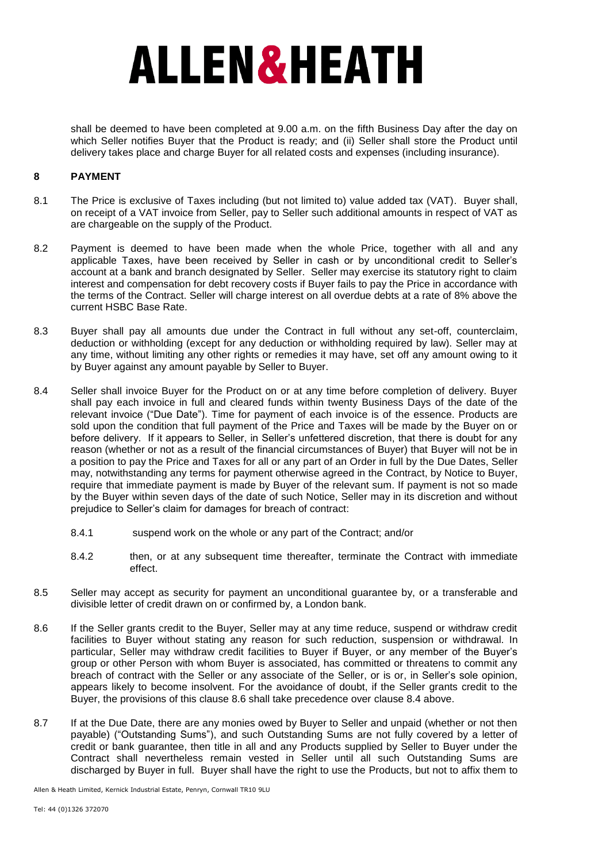shall be deemed to have been completed at 9.00 a.m. on the fifth Business Day after the day on which Seller notifies Buyer that the Product is ready; and (ii) Seller shall store the Product until delivery takes place and charge Buyer for all related costs and expenses (including insurance).

## **8 PAYMENT**

- 8.1 The Price is exclusive of Taxes including (but not limited to) value added tax (VAT). Buyer shall, on receipt of a VAT invoice from Seller, pay to Seller such additional amounts in respect of VAT as are chargeable on the supply of the Product.
- 8.2 Payment is deemed to have been made when the whole Price, together with all and any applicable Taxes, have been received by Seller in cash or by unconditional credit to Seller's account at a bank and branch designated by Seller. Seller may exercise its statutory right to claim interest and compensation for debt recovery costs if Buyer fails to pay the Price in accordance with the terms of the Contract. Seller will charge interest on all overdue debts at a rate of 8% above the current HSBC Base Rate.
- 8.3 Buyer shall pay all amounts due under the Contract in full without any set-off, counterclaim, deduction or withholding (except for any deduction or withholding required by law). Seller may at any time, without limiting any other rights or remedies it may have, set off any amount owing to it by Buyer against any amount payable by Seller to Buyer.
- 8.4 Seller shall invoice Buyer for the Product on or at any time before completion of delivery. Buyer shall pay each invoice in full and cleared funds within twenty Business Days of the date of the relevant invoice ("Due Date"). Time for payment of each invoice is of the essence. Products are sold upon the condition that full payment of the Price and Taxes will be made by the Buyer on or before delivery. If it appears to Seller, in Seller's unfettered discretion, that there is doubt for any reason (whether or not as a result of the financial circumstances of Buyer) that Buyer will not be in a position to pay the Price and Taxes for all or any part of an Order in full by the Due Dates, Seller may, notwithstanding any terms for payment otherwise agreed in the Contract, by Notice to Buyer, require that immediate payment is made by Buyer of the relevant sum. If payment is not so made by the Buyer within seven days of the date of such Notice, Seller may in its discretion and without prejudice to Seller's claim for damages for breach of contract:
	- 8.4.1 suspend work on the whole or any part of the Contract; and/or
	- 8.4.2 then, or at any subsequent time thereafter, terminate the Contract with immediate effect.
- 8.5 Seller may accept as security for payment an unconditional guarantee by, or a transferable and divisible letter of credit drawn on or confirmed by, a London bank.
- 8.6 If the Seller grants credit to the Buyer, Seller may at any time reduce, suspend or withdraw credit facilities to Buyer without stating any reason for such reduction, suspension or withdrawal. In particular, Seller may withdraw credit facilities to Buyer if Buyer, or any member of the Buyer's group or other Person with whom Buyer is associated, has committed or threatens to commit any breach of contract with the Seller or any associate of the Seller, or is or, in Seller's sole opinion, appears likely to become insolvent. For the avoidance of doubt, if the Seller grants credit to the Buyer, the provisions of this clause 8.6 shall take precedence over clause 8.4 above.
- 8.7 If at the Due Date, there are any monies owed by Buyer to Seller and unpaid (whether or not then payable) ("Outstanding Sums"), and such Outstanding Sums are not fully covered by a letter of credit or bank guarantee, then title in all and any Products supplied by Seller to Buyer under the Contract shall nevertheless remain vested in Seller until all such Outstanding Sums are discharged by Buyer in full. Buyer shall have the right to use the Products, but not to affix them to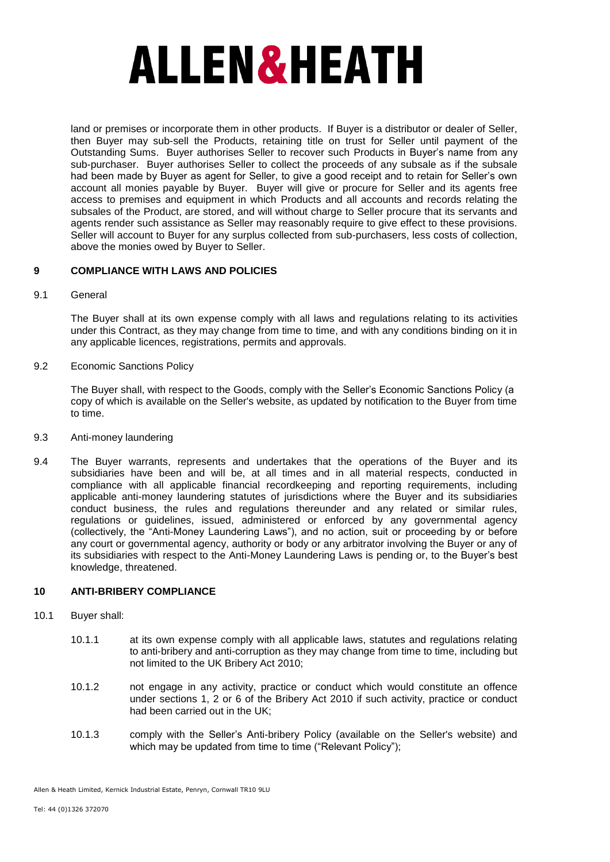land or premises or incorporate them in other products. If Buyer is a distributor or dealer of Seller, then Buyer may sub-sell the Products, retaining title on trust for Seller until payment of the Outstanding Sums. Buyer authorises Seller to recover such Products in Buyer's name from any sub-purchaser. Buyer authorises Seller to collect the proceeds of any subsale as if the subsale had been made by Buyer as agent for Seller, to give a good receipt and to retain for Seller's own account all monies payable by Buyer. Buyer will give or procure for Seller and its agents free access to premises and equipment in which Products and all accounts and records relating the subsales of the Product, are stored, and will without charge to Seller procure that its servants and agents render such assistance as Seller may reasonably require to give effect to these provisions. Seller will account to Buyer for any surplus collected from sub-purchasers, less costs of collection, above the monies owed by Buyer to Seller.

## **9 COMPLIANCE WITH LAWS AND POLICIES**

9.1 General

The Buyer shall at its own expense comply with all laws and regulations relating to its activities under this Contract, as they may change from time to time, and with any conditions binding on it in any applicable licences, registrations, permits and approvals.

9.2 Economic Sanctions Policy

The Buyer shall, with respect to the Goods, comply with the Seller's Economic Sanctions Policy (a copy of which is available on the Seller's website, as updated by notification to the Buyer from time to time.

- 9.3 Anti-money laundering
- 9.4 The Buyer warrants, represents and undertakes that the operations of the Buyer and its subsidiaries have been and will be, at all times and in all material respects, conducted in compliance with all applicable financial recordkeeping and reporting requirements, including applicable anti-money laundering statutes of jurisdictions where the Buyer and its subsidiaries conduct business, the rules and regulations thereunder and any related or similar rules, regulations or guidelines, issued, administered or enforced by any governmental agency (collectively, the "Anti-Money Laundering Laws"), and no action, suit or proceeding by or before any court or governmental agency, authority or body or any arbitrator involving the Buyer or any of its subsidiaries with respect to the Anti-Money Laundering Laws is pending or, to the Buyer's best knowledge, threatened.

## **10 ANTI-BRIBERY COMPLIANCE**

- 10.1 Buyer shall:
	- 10.1.1 at its own expense comply with all applicable laws, statutes and regulations relating to anti-bribery and anti-corruption as they may change from time to time, including but not limited to the UK Bribery Act 2010;
	- 10.1.2 not engage in any activity, practice or conduct which would constitute an offence under sections 1, 2 or 6 of the Bribery Act 2010 if such activity, practice or conduct had been carried out in the UK;
	- 10.1.3 comply with the Seller's Anti-bribery Policy (available on the Seller's website) and which may be updated from time to time ("Relevant Policy");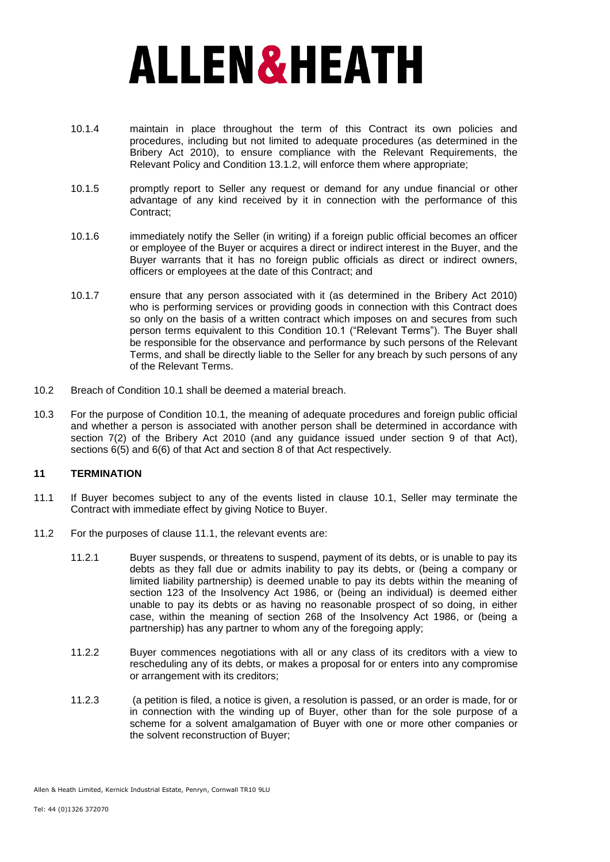- 10.1.4 maintain in place throughout the term of this Contract its own policies and procedures, including but not limited to adequate procedures (as determined in the Bribery Act 2010), to ensure compliance with the Relevant Requirements, the Relevant Policy and Condition 13.1.2, will enforce them where appropriate;
- 10.1.5 promptly report to Seller any request or demand for any undue financial or other advantage of any kind received by it in connection with the performance of this Contract;
- 10.1.6 immediately notify the Seller (in writing) if a foreign public official becomes an officer or employee of the Buyer or acquires a direct or indirect interest in the Buyer, and the Buyer warrants that it has no foreign public officials as direct or indirect owners, officers or employees at the date of this Contract; and
- 10.1.7 ensure that any person associated with it (as determined in the Bribery Act 2010) who is performing services or providing goods in connection with this Contract does so only on the basis of a written contract which imposes on and secures from such person terms equivalent to this Condition 10.1 ("Relevant Terms"). The Buyer shall be responsible for the observance and performance by such persons of the Relevant Terms, and shall be directly liable to the Seller for any breach by such persons of any of the Relevant Terms.
- 10.2 Breach of Condition 10.1 shall be deemed a material breach.
- 10.3 For the purpose of Condition 10.1, the meaning of adequate procedures and foreign public official and whether a person is associated with another person shall be determined in accordance with section 7(2) of the Bribery Act 2010 (and any guidance issued under section 9 of that Act), sections 6(5) and 6(6) of that Act and section 8 of that Act respectively.

## **11 TERMINATION**

- 11.1 If Buyer becomes subject to any of the events listed in clause 10.1, Seller may terminate the Contract with immediate effect by giving Notice to Buyer.
- 11.2 For the purposes of clause 11.1, the relevant events are:
	- 11.2.1 Buyer suspends, or threatens to suspend, payment of its debts, or is unable to pay its debts as they fall due or admits inability to pay its debts, or (being a company or limited liability partnership) is deemed unable to pay its debts within the meaning of section 123 of the Insolvency Act 1986, or (being an individual) is deemed either unable to pay its debts or as having no reasonable prospect of so doing, in either case, within the meaning of section 268 of the Insolvency Act 1986, or (being a partnership) has any partner to whom any of the foregoing apply;
	- 11.2.2 Buyer commences negotiations with all or any class of its creditors with a view to rescheduling any of its debts, or makes a proposal for or enters into any compromise or arrangement with its creditors;
	- 11.2.3 (a petition is filed, a notice is given, a resolution is passed, or an order is made, for or in connection with the winding up of Buyer, other than for the sole purpose of a scheme for a solvent amalgamation of Buyer with one or more other companies or the solvent reconstruction of Buyer;

Allen & Heath Limited, Kernick Industrial Estate, Penryn, Cornwall TR10 9LU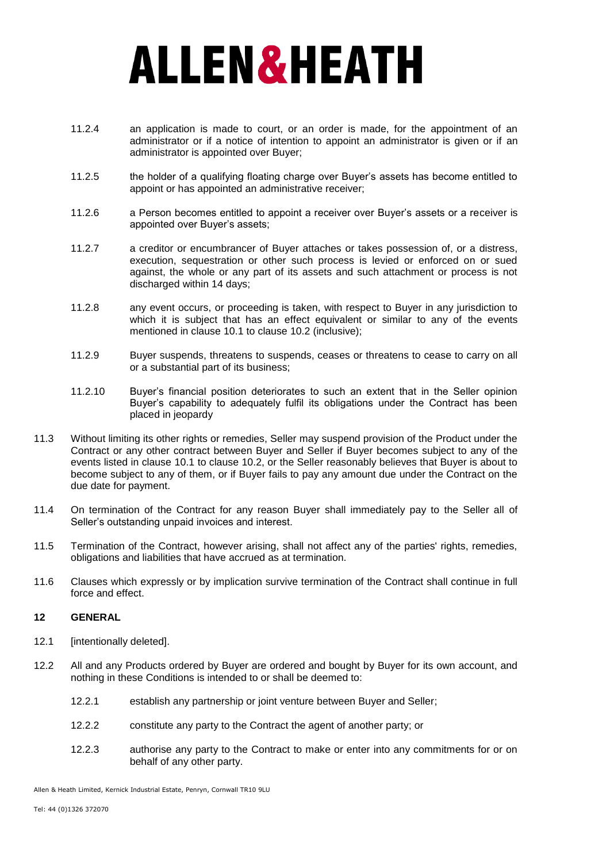- 11.2.4 an application is made to court, or an order is made, for the appointment of an administrator or if a notice of intention to appoint an administrator is given or if an administrator is appointed over Buyer;
- 11.2.5 the holder of a qualifying floating charge over Buyer's assets has become entitled to appoint or has appointed an administrative receiver;
- 11.2.6 a Person becomes entitled to appoint a receiver over Buyer's assets or a receiver is appointed over Buyer's assets;
- 11.2.7 a creditor or encumbrancer of Buyer attaches or takes possession of, or a distress, execution, sequestration or other such process is levied or enforced on or sued against, the whole or any part of its assets and such attachment or process is not discharged within 14 days;
- 11.2.8 any event occurs, or proceeding is taken, with respect to Buyer in any jurisdiction to which it is subject that has an effect equivalent or similar to any of the events mentioned in clause 10.1 to clause 10.2 (inclusive);
- 11.2.9 Buyer suspends, threatens to suspends, ceases or threatens to cease to carry on all or a substantial part of its business;
- 11.2.10 Buyer's financial position deteriorates to such an extent that in the Seller opinion Buyer's capability to adequately fulfil its obligations under the Contract has been placed in jeopardy
- 11.3 Without limiting its other rights or remedies, Seller may suspend provision of the Product under the Contract or any other contract between Buyer and Seller if Buyer becomes subject to any of the events listed in clause 10.1 to clause 10.2, or the Seller reasonably believes that Buyer is about to become subject to any of them, or if Buyer fails to pay any amount due under the Contract on the due date for payment.
- 11.4 On termination of the Contract for any reason Buyer shall immediately pay to the Seller all of Seller's outstanding unpaid invoices and interest.
- 11.5 Termination of the Contract, however arising, shall not affect any of the parties' rights, remedies, obligations and liabilities that have accrued as at termination.
- 11.6 Clauses which expressly or by implication survive termination of the Contract shall continue in full force and effect.

### **12 GENERAL**

- 12.1 [intentionally deleted].
- 12.2 All and any Products ordered by Buyer are ordered and bought by Buyer for its own account, and nothing in these Conditions is intended to or shall be deemed to:
	- 12.2.1 establish any partnership or joint venture between Buyer and Seller;
	- 12.2.2 constitute any party to the Contract the agent of another party; or
	- 12.2.3 authorise any party to the Contract to make or enter into any commitments for or on behalf of any other party.